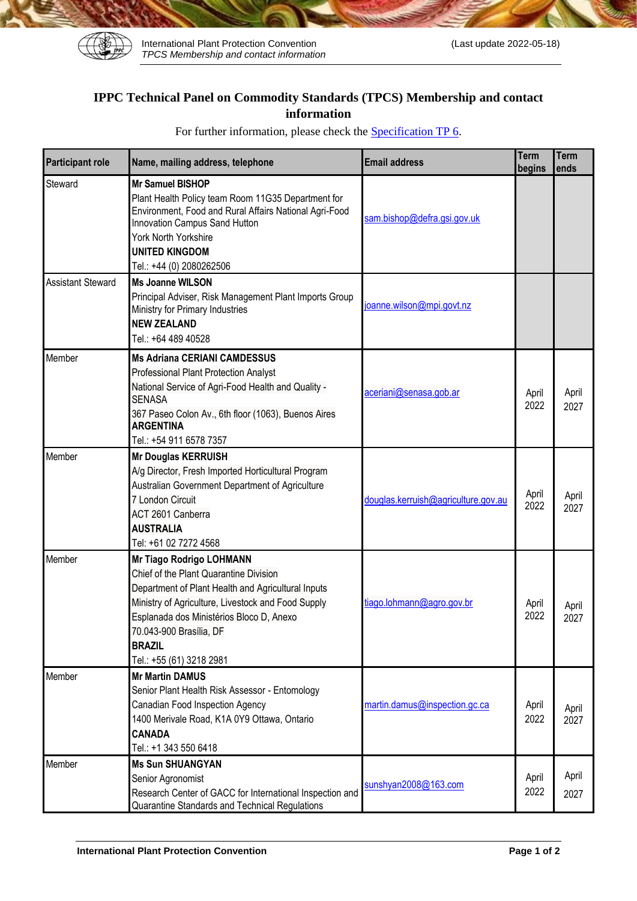

International Plant Protection Convention (Last update 2022-05-18) *TPCS Membership and contact information*

## **IPPC Technical Panel on Commodity Standards (TPCS) Membership and contact information**

| <b>Participant role</b>  | Name, mailing address, telephone                                                                                                                                                                                                                                                                   | <b>Email address</b>                | Term<br>begins | <b>Term</b><br>ends |
|--------------------------|----------------------------------------------------------------------------------------------------------------------------------------------------------------------------------------------------------------------------------------------------------------------------------------------------|-------------------------------------|----------------|---------------------|
| Steward                  | <b>Mr Samuel BISHOP</b><br>Plant Health Policy team Room 11G35 Department for<br>Environment, Food and Rural Affairs National Agri-Food<br>Innovation Campus Sand Hutton<br>York North Yorkshire<br><b>UNITED KINGDOM</b><br>Tel.: +44 (0) 2080262506                                              | sam.bishop@defra.gsi.gov.uk         |                |                     |
| <b>Assistant Steward</b> | <b>Ms Joanne WILSON</b><br>Principal Adviser, Risk Management Plant Imports Group<br>Ministry for Primary Industries<br><b>NEW ZEALAND</b><br>Tel.: +64 489 40528                                                                                                                                  | joanne.wilson@mpi.govt.nz           |                |                     |
| Member                   | <b>Ms Adriana CERIANI CAMDESSUS</b><br>Professional Plant Protection Analyst<br>National Service of Agri-Food Health and Quality -<br><b>SENASA</b><br>367 Paseo Colon Av., 6th floor (1063), Buenos Aires<br><b>ARGENTINA</b><br>Tel.: +54 911 6578 7357                                          | aceriani@senasa.gob.ar              | April<br>2022  | April<br>2027       |
| Member                   | <b>Mr Douglas KERRUISH</b><br>A/g Director, Fresh Imported Horticultural Program<br>Australian Government Department of Agriculture<br>7 London Circuit<br>ACT 2601 Canberra<br><b>AUSTRALIA</b><br>Tel: +61 02 7272 4568                                                                          | douglas.kerruish@agriculture.gov.au | April<br>2022  | April<br>2027       |
| Member                   | Mr Tiago Rodrigo LOHMANN<br>Chief of the Plant Quarantine Division<br>Department of Plant Health and Agricultural Inputs<br>Ministry of Agriculture, Livestock and Food Supply<br>Esplanada dos Ministérios Bloco D, Anexo<br>70.043-900 Brasília, DF<br><b>BRAZIL</b><br>Tel.: +55 (61) 3218 2981 | tiago.lohmann@agro.gov.br           | April<br>2022  | April<br>2027       |
| Member                   | <b>Mr Martin DAMUS</b><br>Senior Plant Health Risk Assessor - Entomology<br>Canadian Food Inspection Agency<br>1400 Merivale Road, K1A 0Y9 Ottawa, Ontario<br><b>CANADA</b><br>Tel.: +1 343 550 6418                                                                                               | martin.damus@inspection.gc.ca       | April<br>2022  | April<br>2027       |
| Member                   | <b>Ms Sun SHUANGYAN</b><br>Senior Agronomist<br>Research Center of GACC for International Inspection and<br>Quarantine Standards and Technical Regulations                                                                                                                                         | sunshyan2008@163.com                | April<br>2022  | April<br>2027       |

For further information, please check the **Specification TP 6**.